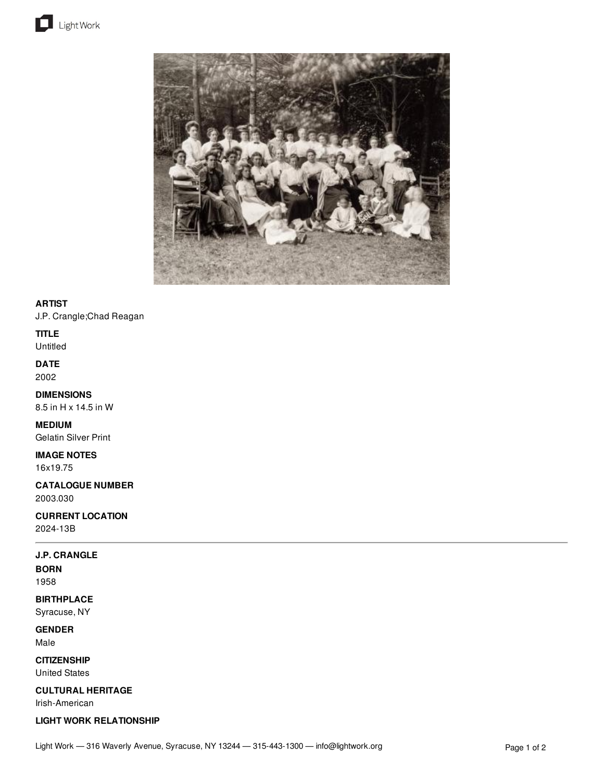



### **ARTIST**

J.P. Crangle;Chad Reagan

### **TITLE**

Untitled

## **DATE**

2002

#### **DIMENSIONS** 8.5 in H x 14.5 in W

**MEDIUM**

## Gelatin Silver Print

**IMAGE NOTES**

# 16x19.75

**CATALOGUE NUMBER** 2003.030

### **CURRENT LOCATION**

2024-13B

### **J.P. CRANGLE**

**BORN** 1958

## **BIRTHPLACE**

Syracuse, NY

### **GENDER**

Male

# **CITIZENSHIP**

United States

### **CULTURAL HERITAGE**

Irish-American

### **LIGHT WORK RELATIONSHIP**